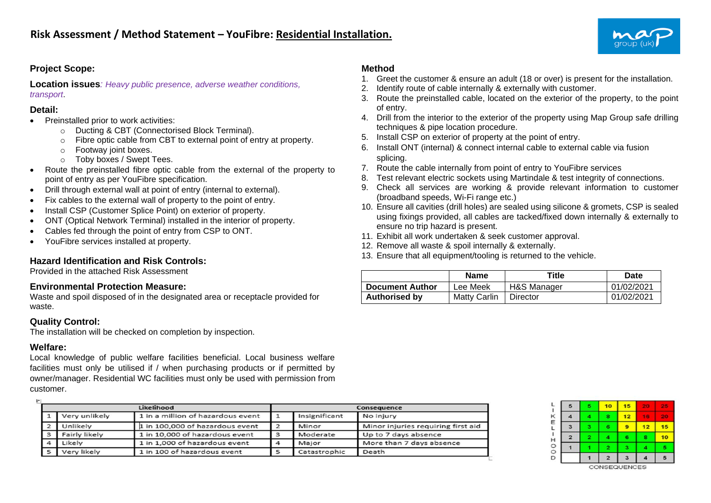

# **Project Scope:**

**Location issues***: Heavy public presence, adverse weather conditions, transport*.

#### **Detail:**

- Preinstalled prior to work activities:
	- o Ducting & CBT (Connectorised Block Terminal).
	- o Fibre optic cable from CBT to external point of entry at property.
	- o Footway joint boxes.
	- o Toby boxes / Swept Tees.
- Route the preinstalled fibre optic cable from the external of the property to point of entry as per YouFibre specification.
- Drill through external wall at point of entry (internal to external).
- Fix cables to the external wall of property to the point of entry.
- Install CSP (Customer Splice Point) on exterior of property.
- ONT (Optical Network Terminal) installed in the interior of property.
- Cables fed through the point of entry from CSP to ONT.
- YouFibre services installed at property.

### **Hazard Identification and Risk Controls:**

Provided in the attached Risk Assessment

#### **Environmental Protection Measure:**

Waste and spoil disposed of in the designated area or receptacle provided for waste.

### **Quality Control:**

The installation will be checked on completion by inspection.

### **Welfare:**

 $\mathbf{r}$ 

Local knowledge of public welfare facilities beneficial. Local business welfare facilities must only be utilised if / when purchasing products or if permitted by owner/manager. Residential WC facilities must only be used with permission from customer.

|                |                 | Likelihood                        |   |               | Consequence                        |
|----------------|-----------------|-----------------------------------|---|---------------|------------------------------------|
| 11             | Very unlikely   | 1 in a million of hazardous event |   | Insignificant | No injury                          |
| $\sqrt{2}$     | Unlikely        | 1 in 100,000 of hazardous event   |   | Minor         | Minor injuries requiring first aid |
|                | 3 Fairly likely | 1 in 10,000 of hazardous event    | 3 | Moderate      | Up to 7 days absence               |
| $\overline{4}$ | Likely          | 1 in 1,000 of hazardous event     |   | Major         | More than 7 days absence           |
|                | 5 Very likely   | 1 in 100 of hazardous event       |   | Catastrophic  | Death                              |

# **Method**

- 1. Greet the customer & ensure an adult (18 or over) is present for the installation.
- 2. Identify route of cable internally & externally with customer.
- 3. Route the preinstalled cable, located on the exterior of the property, to the point of entry.
- 4. Drill from the interior to the exterior of the property using Map Group safe drilling techniques & pipe location procedure.
- 5. Install CSP on exterior of property at the point of entry.
- 6. Install ONT (internal) & connect internal cable to external cable via fusion splicing.
- 7. Route the cable internally from point of entry to YouFibre services
- 8. Test relevant electric sockets using Martindale & test integrity of connections.
- 9. Check all services are working & provide relevant information to customer (broadband speeds, Wi-Fi range etc.)
- 10. Ensure all cavities (drill holes) are sealed using silicone & gromets, CSP is sealed using fixings provided, all cables are tacked/fixed down internally & externally to ensure no trip hazard is present.
- 11. Exhibit all work undertaken & seek customer approval.
- 12. Remove all waste & spoil internally & externally.
- 13. Ensure that all equipment/tooling is returned to the vehicle.

|                        | <b>Name</b>         | Title       | Date       |
|------------------------|---------------------|-------------|------------|
| <b>Document Author</b> | Lee Meek            | H&S Manager | 01/02/2021 |
| <b>Authorised by</b>   | <b>Matty Carlin</b> | Director    | 01/02/2021 |

| 5                       | 5         | 10             | 15 | 20 | 25 |
|-------------------------|-----------|----------------|----|----|----|
| 4                       | 4         | 8              | 12 | 16 | 20 |
| 3                       | з         | 6              | 9  | 12 | 15 |
| $\overline{\mathbf{z}}$ | $\bullet$ | 4              | 6  | 8  | 10 |
|                         |           | 2              | з  | 4  | 5  |
|                         |           | $\overline{2}$ | з  |    | 5  |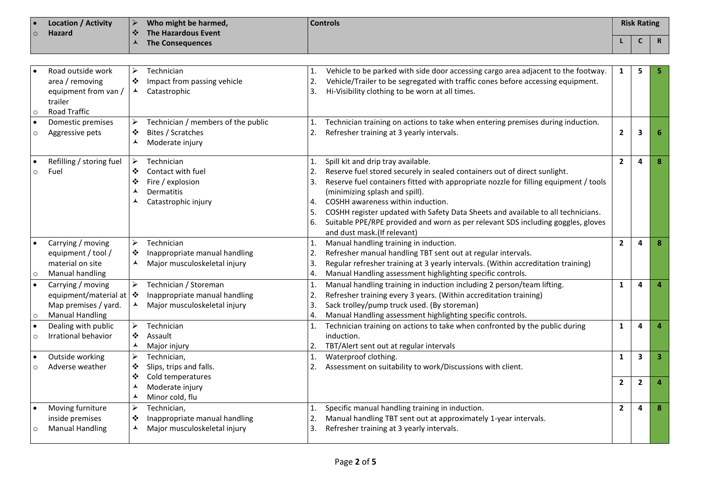| Location / Activity | Who might be harmed,         | <b>Controls</b> | <b>Risk Rating</b> |                     |
|---------------------|------------------------------|-----------------|--------------------|---------------------|
| Hazard              | The Hazardous Event<br>- 474 |                 |                    |                     |
|                     | <b>The Consequences</b>      |                 |                    | - P<br>$\mathbf{u}$ |

| $\circ$              | Road outside work<br>area / removing<br>equipment from van /<br>trailer<br>Road Traffic                      | ➤<br>❖<br>ᄉ                | Technician<br>Impact from passing vehicle<br>Catastrophic                                | 1.<br>2.<br>3.                   | Vehicle to be parked with side door accessing cargo area adjacent to the footway.<br>Vehicle/Trailer to be segregated with traffic cones before accessing equipment.<br>Hi-Visibility clothing to be worn at all times.                                                                                                                                                                                                                                                               | 1              | 5              |                         |
|----------------------|--------------------------------------------------------------------------------------------------------------|----------------------------|------------------------------------------------------------------------------------------|----------------------------------|---------------------------------------------------------------------------------------------------------------------------------------------------------------------------------------------------------------------------------------------------------------------------------------------------------------------------------------------------------------------------------------------------------------------------------------------------------------------------------------|----------------|----------------|-------------------------|
| $\bullet$<br>$\circ$ | Domestic premises<br>Aggressive pets                                                                         | ⋗<br>❖<br>⋏                | Technician / members of the public<br>Bites / Scratches<br>Moderate injury               | 2.                               | Technician training on actions to take when entering premises during induction.<br>Refresher training at 3 yearly intervals.                                                                                                                                                                                                                                                                                                                                                          | $\overline{2}$ | 3              |                         |
| $\bullet$<br>$\circ$ | Refilling / storing fuel<br>Fuel                                                                             | ➤<br>❖<br>❖                | Technician<br>Contact with fuel<br>Fire / explosion<br>Dermatitis<br>Catastrophic injury | 1.<br>2.<br>3.<br>4.<br>5.<br>6. | Spill kit and drip tray available.<br>Reserve fuel stored securely in sealed containers out of direct sunlight.<br>Reserve fuel containers fitted with appropriate nozzle for filling equipment / tools<br>(minimizing splash and spill).<br>COSHH awareness within induction.<br>COSHH register updated with Safety Data Sheets and available to all technicians.<br>Suitable PPE/RPE provided and worn as per relevant SDS including goggles, gloves<br>and dust mask.(If relevant) | $\overline{2}$ | 4              | 8                       |
| $\circ$              | Carrying / moving<br>equipment / tool /<br>material on site<br>Manual handling                               | ➤<br>❖<br>▴                | Technician<br>Inappropriate manual handling<br>Major musculoskeletal injury              | 2.<br>3.<br>4.                   | Manual handling training in induction.<br>Refresher manual handling TBT sent out at regular intervals.<br>Regular refresher training at 3 yearly intervals. (Within accreditation training)<br>Manual Handling assessment highlighting specific controls.                                                                                                                                                                                                                             | $\overline{2}$ | 4              | 8                       |
| $\bullet$<br>$\circ$ | Carrying / moving<br>equipment/material at $ \cdot\rangle$<br>Map premises / yard.<br><b>Manual Handling</b> | $\blacktriangleright$<br>⅄ | Technician / Storeman<br>Inappropriate manual handling<br>Major musculoskeletal injury   | 2.<br>3.<br>4.                   | Manual handling training in induction including 2 person/team lifting.<br>Refresher training every 3 years. (Within accreditation training)<br>Sack trolley/pump truck used. (By storeman)<br>Manual Handling assessment highlighting specific controls.                                                                                                                                                                                                                              | $\mathbf{1}$   | Δ              |                         |
| $\bullet$<br>$\circ$ | Dealing with public<br>Irrational behavior                                                                   | ➤<br>❖<br>⅄                | Technician<br>Assault<br>Major injury                                                    |                                  | Technician training on actions to take when confronted by the public during<br>induction.<br>TBT/Alert sent out at regular intervals                                                                                                                                                                                                                                                                                                                                                  | 1              | 4              |                         |
| $\circ$              | Outside working<br>Adverse weather                                                                           | ➤<br>❖                     | Technician,<br>Slips, trips and falls.                                                   | 1.                               | Waterproof clothing.<br>Assessment on suitability to work/Discussions with client.                                                                                                                                                                                                                                                                                                                                                                                                    | $\mathbf{1}$   | $\mathbf{3}$   | $\overline{\mathbf{3}}$ |
|                      |                                                                                                              | ❖<br>ᄉ<br>ᄉ                | Cold temperatures<br>Moderate injury<br>Minor cold, flu                                  |                                  |                                                                                                                                                                                                                                                                                                                                                                                                                                                                                       | $\overline{2}$ | $\overline{2}$ |                         |
| $\circ$              | Moving furniture<br>inside premises<br><b>Manual Handling</b>                                                | $\blacktriangleright$<br>❖ | Technician,<br>Inappropriate manual handling<br>Major musculoskeletal injury             | 1.<br>2.<br>3.                   | Specific manual handling training in induction.<br>Manual handling TBT sent out at approximately 1-year intervals.<br>Refresher training at 3 yearly intervals.                                                                                                                                                                                                                                                                                                                       | $\overline{2}$ | 4              | 8                       |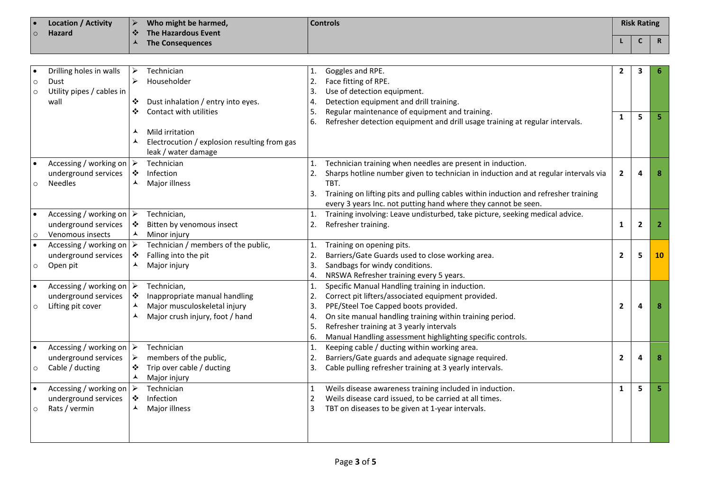| <b>Location / Activity</b><br>∣ ●   | Who might be harmed,         | <b>Controls</b> | <b>Risk Rating</b> |               |
|-------------------------------------|------------------------------|-----------------|--------------------|---------------|
| <b>Hazard</b><br>$\overline{\circ}$ | The Hazardous Event<br>। ∙7∙ |                 |                    |               |
|                                     | The Consequences             |                 |                    | <b>D</b><br>n |

|         | Drilling holes in walls                 | ➤                     | Technician                                   |    | Goggles and RPE.                                                                            | $\mathbf{2}$   | 3              |    |
|---------|-----------------------------------------|-----------------------|----------------------------------------------|----|---------------------------------------------------------------------------------------------|----------------|----------------|----|
|         | Dust                                    | $\blacktriangleright$ | Householder                                  | 2. | Face fitting of RPE.                                                                        |                |                |    |
| $\circ$ | Utility pipes / cables in               |                       |                                              | 3. | Use of detection equipment.                                                                 |                |                |    |
| $\circ$ | wall                                    | ❖                     | Dust inhalation / entry into eyes.           | 4. | Detection equipment and drill training.                                                     |                |                |    |
|         |                                         | ❖                     | Contact with utilities                       | 5. | Regular maintenance of equipment and training.                                              |                |                |    |
|         |                                         |                       |                                              | 6. | Refresher detection equipment and drill usage training at regular intervals.                | 1              | 5              |    |
|         |                                         |                       | Mild irritation                              |    |                                                                                             |                |                |    |
|         |                                         | ▴                     | Electrocution / explosion resulting from gas |    |                                                                                             |                |                |    |
|         |                                         |                       | leak / water damage                          |    |                                                                                             |                |                |    |
|         |                                         |                       |                                              |    |                                                                                             |                |                |    |
|         | Accessing / working on $\triangleright$ |                       | Technician                                   | 1. | Technician training when needles are present in induction.                                  |                |                |    |
|         | underground services                    | ❖<br>⋏                | Infection                                    | 2. | Sharps hotline number given to technician in induction and at regular intervals via<br>TBT. | $\overline{2}$ | Δ              |    |
|         | <b>Needles</b>                          |                       | Major illness                                |    |                                                                                             |                |                |    |
|         |                                         |                       |                                              | 3. | Training on lifting pits and pulling cables within induction and refresher training         |                |                |    |
|         |                                         |                       | Technician,                                  |    | every 3 years Inc. not putting hand where they cannot be seen.                              |                |                |    |
|         | Accessing / working on $\triangleright$ |                       |                                              | 1. | Training involving: Leave undisturbed, take picture, seeking medical advice.                |                |                |    |
|         | underground services                    | ❖<br>$\blacktriangle$ | Bitten by venomous insect                    | 2. | Refresher training.                                                                         | 1              | $\overline{2}$ |    |
| $\circ$ | Venomous insects                        |                       | Minor injury                                 |    |                                                                                             |                |                |    |
|         | Accessing / working on $\triangleright$ |                       | Technician / members of the public,          | 1. | Training on opening pits.                                                                   |                |                |    |
|         | underground services                    | ❖                     | Falling into the pit                         | 2. | Barriers/Gate Guards used to close working area.                                            | $\overline{2}$ | 5              | 10 |
| $\circ$ | Open pit                                | ▲                     | Major injury                                 | 3. | Sandbags for windy conditions.                                                              |                |                |    |
|         |                                         |                       |                                              | 4. | NRSWA Refresher training every 5 years.                                                     |                |                |    |
|         | Accessing / working on $\triangleright$ |                       | Technician,                                  | 1. | Specific Manual Handling training in induction.                                             |                |                |    |
|         | underground services                    | ❖                     | Inappropriate manual handling                | 2. | Correct pit lifters/associated equipment provided.                                          |                |                |    |
| $\circ$ | Lifting pit cover                       | ▲                     | Major musculoskeletal injury                 | 3. | PPE/Steel Toe Capped boots provided.                                                        | $\overline{2}$ | 4              |    |
|         |                                         | ▴                     | Major crush injury, foot / hand              | 4. | On site manual handling training within training period.                                    |                |                |    |
|         |                                         |                       |                                              | 5. | Refresher training at 3 yearly intervals                                                    |                |                |    |
|         |                                         |                       |                                              | 6. | Manual Handling assessment highlighting specific controls.                                  |                |                |    |
|         | Accessing / working on $\triangleright$ |                       | Technician                                   | 1. | Keeping cable / ducting within working area.                                                |                |                |    |
|         | underground services                    | ➤                     | members of the public,                       | 2. | Barriers/Gate guards and adequate signage required.                                         | $\overline{2}$ | 4              |    |
| $\circ$ | Cable / ducting                         | ❖                     | Trip over cable / ducting                    | 3. | Cable pulling refresher training at 3 yearly intervals.                                     |                |                |    |
|         |                                         | ▲                     | Major injury                                 |    |                                                                                             |                |                |    |
|         | Accessing / working on $\triangleright$ |                       | Technician                                   | 1  | Weils disease awareness training included in induction.                                     | $\mathbf{1}$   | 5              |    |
|         | underground services                    | ❖                     | Infection                                    | 2  | Weils disease card issued, to be carried at all times.                                      |                |                |    |
| $\circ$ | Rats / vermin                           | ▲                     | Major illness                                | 3  | TBT on diseases to be given at 1-year intervals.                                            |                |                |    |
|         |                                         |                       |                                              |    |                                                                                             |                |                |    |
|         |                                         |                       |                                              |    |                                                                                             |                |                |    |
|         |                                         |                       |                                              |    |                                                                                             |                |                |    |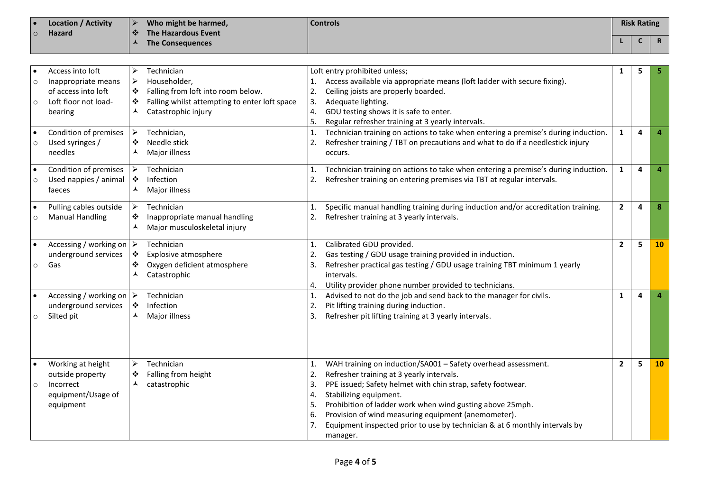| <b>Location / Activity</b><br>∣ ● | Who might be harmed, | <b>Controls</b> | <b>Risk Rating</b> |                     |
|-----------------------------------|----------------------|-----------------|--------------------|---------------------|
| <b>Hazard</b><br>$\circ$          | The Hazardous Event  |                 |                    |                     |
|                                   | The Consequences     |                 |                    | - 6<br>$\mathbf{r}$ |

|         | Access into loft                        | ➤                     | Technician                                    |    | Loft entry prohibited unless;                                                      |                | 5 |           |
|---------|-----------------------------------------|-----------------------|-----------------------------------------------|----|------------------------------------------------------------------------------------|----------------|---|-----------|
| $\circ$ | Inappropriate means                     | ➤                     | Householder,                                  | 1. | Access available via appropriate means (loft ladder with secure fixing).           |                |   |           |
|         | of access into loft                     | ❖                     | Falling from loft into room below.            | 2. | Ceiling joists are properly boarded.                                               |                |   |           |
| $\circ$ | Loft floor not load-                    | ❖                     | Falling whilst attempting to enter loft space | 3. | Adequate lighting.                                                                 |                |   |           |
|         | bearing                                 | ⋏                     | Catastrophic injury                           | 4. | GDU testing shows it is safe to enter.                                             |                |   |           |
|         |                                         |                       |                                               | 5. | Regular refresher training at 3 yearly intervals.                                  |                |   |           |
|         | Condition of premises                   | ≻                     | Technician,                                   | 1. | Technician training on actions to take when entering a premise's during induction. | $\mathbf{1}$   | 4 |           |
| $\circ$ | Used syringes /                         | ❖                     | Needle stick                                  | 2. | Refresher training / TBT on precautions and what to do if a needlestick injury     |                |   |           |
|         | needles                                 | ⋏                     | Major illness                                 |    | occurs.                                                                            |                |   |           |
|         | Condition of premises                   | $\blacktriangleright$ | Technician                                    | 1. | Technician training on actions to take when entering a premise's during induction. | $\mathbf{1}$   | 4 |           |
| $\circ$ | Used nappies / animal                   | ❖                     | Infection                                     | 2. | Refresher training on entering premises via TBT at regular intervals.              |                |   |           |
|         | faeces                                  | ▴                     | Major illness                                 |    |                                                                                    |                |   |           |
|         | Pulling cables outside                  | ➤                     | Technician                                    | 1. | Specific manual handling training during induction and/or accreditation training.  | $\overline{2}$ | 4 | 8         |
| O       | <b>Manual Handling</b>                  | ❖                     | Inappropriate manual handling                 | 2. | Refresher training at 3 yearly intervals.                                          |                |   |           |
|         |                                         | ᄉ                     | Major musculoskeletal injury                  |    |                                                                                    |                |   |           |
|         | Accessing / working on $\triangleright$ |                       | Technician                                    | 1. | Calibrated GDU provided.                                                           | $\overline{2}$ | 5 | <b>10</b> |
|         | underground services                    | ❖                     | Explosive atmosphere                          | 2. | Gas testing / GDU usage training provided in induction.                            |                |   |           |
| $\circ$ | Gas                                     | ❖                     | Oxygen deficient atmosphere                   | 3. | Refresher practical gas testing / GDU usage training TBT minimum 1 yearly          |                |   |           |
|         |                                         | ▴                     | Catastrophic                                  |    | intervals.                                                                         |                |   |           |
|         |                                         |                       |                                               | 4. | Utility provider phone number provided to technicians.                             |                |   |           |
|         | Accessing / working on $\triangleright$ |                       | Technician                                    | 1. | Advised to not do the job and send back to the manager for civils.                 | $\mathbf{1}$   | 4 |           |
|         | underground services                    | ❖                     | Infection                                     | 2. | Pit lifting training during induction.                                             |                |   |           |
|         | Silted pit                              |                       | Major illness                                 | 3. | Refresher pit lifting training at 3 yearly intervals.                              |                |   |           |
|         |                                         |                       |                                               |    |                                                                                    |                |   |           |
|         |                                         |                       |                                               |    |                                                                                    |                |   |           |
|         |                                         |                       |                                               |    |                                                                                    |                |   |           |
|         | Working at height                       | ➤                     | Technician                                    | 1. | WAH training on induction/SA001 - Safety overhead assessment.                      | $\mathbf{2}$   | 5 | 10        |
|         | outside property                        | ❖                     | Falling from height                           | 2. | Refresher training at 3 yearly intervals.                                          |                |   |           |
| $\circ$ | Incorrect                               | ⋏                     | catastrophic                                  | 3. | PPE issued; Safety helmet with chin strap, safety footwear.                        |                |   |           |
|         | equipment/Usage of                      |                       |                                               | 4. | Stabilizing equipment.                                                             |                |   |           |
|         | equipment                               |                       |                                               | 5. | Prohibition of ladder work when wind gusting above 25mph.                          |                |   |           |
|         |                                         |                       |                                               | 6. | Provision of wind measuring equipment (anemometer).                                |                |   |           |
|         |                                         |                       |                                               | 7. | Equipment inspected prior to use by technician & at 6 monthly intervals by         |                |   |           |
|         |                                         |                       |                                               |    | manager.                                                                           |                |   |           |